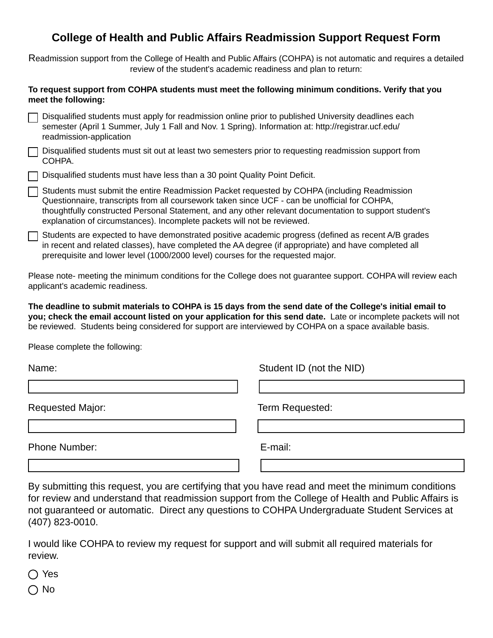## **College of Health and Public Affairs Readmission Support Request Form**

Readmission support from the College of Health and Public Affairs (COHPA) is not automatic and requires a detailed review of the student's academic readiness and plan to return:

## **To request support from COHPA students must meet the following minimum conditions. Verify that you meet the following:**

| □ Disqualified students must apply for readmission online prior to published University deadlines each |
|--------------------------------------------------------------------------------------------------------|
| semester (April 1 Summer, July 1 Fall and Nov. 1 Spring). Information at: http://registrar.ucf.edu/    |
| readmission-application                                                                                |

Disqualified students must sit out at least two semesters prior to requesting readmission support from COHPA.

Disqualified students must have less than a 30 point Quality Point Deficit.

| Students must submit the entire Readmission Packet requested by COHPA (including Readmission           |
|--------------------------------------------------------------------------------------------------------|
| Questionnaire, transcripts from all coursework taken since UCF - can be unofficial for COHPA,          |
| thoughtfully constructed Personal Statement, and any other relevant documentation to support student's |
| explanation of circumstances). Incomplete packets will not be reviewed.                                |

Students are expected to have demonstrated positive academic progress (defined as recent A/B grades in recent and related classes), have completed the AA degree (if appropriate) and have completed all prerequisite and lower level (1000/2000 level) courses for the requested major.

Please note- meeting the minimum conditions for the College does not guarantee support. COHPA will review each applicant's academic readiness.

**The deadline to submit materials to COHPA is 15 days from the send date of the College's initial email to you; check the email account listed on your application for this send date.** Late or incomplete packets will not be reviewed. Students being considered for support are interviewed by COHPA on a space available basis.

Please complete the following:

| Name:                   | Student ID (not the NID) |  |
|-------------------------|--------------------------|--|
|                         |                          |  |
| <b>Requested Major:</b> | Term Requested:          |  |
|                         |                          |  |
| <b>Phone Number:</b>    | E-mail:                  |  |
|                         |                          |  |

By submitting this request, you are certifying that you have read and meet the minimum conditions for review and understand that readmission support from the College of Health and Public Affairs is not guaranteed or automatic. Direct any questions to COHPA Undergraduate Student Services at (407) 823-0010.

I would like COHPA to review my request for support and will submit all required materials for review.

◯ Yes

 $\bigcap$  No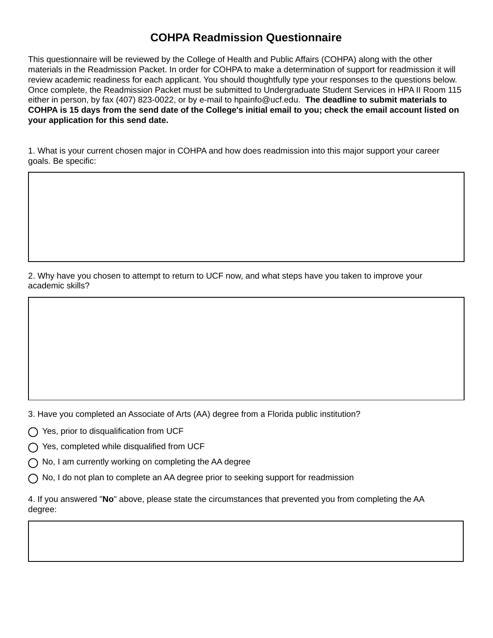## **COHPA Readmission Questionnaire**

This questionnaire will be reviewed by the College of Health and Public Affairs (COHPA) along with the other materials in the Readmission Packet. In order for COHPA to make a determination of support for readmission it will review academic readiness for each applicant. You should thoughtfully type your responses to the questions below. Once complete, the Readmission Packet must be submitted to Undergraduate Student Services in HPA II Room 115 either in person, by fax (407) 823-0022, or by e-mail to hpainfo@ucf.edu. **The deadline to submit materials to COHPA is 15 days from the send date of the College's initial email to you; check the email account listed on your application for this send date.** 

1. What is your current chosen major in COHPA and how does readmission into this major support your career goals. Be specific:

2. Why have you chosen to attempt to return to UCF now, and what steps have you taken to improve your academic skills?

3. Have you completed an Associate of Arts (AA) degree from a Florida public institution?

 $\bigcap$  Yes, prior to disqualification from UCF

 $\bigcap$  Yes, completed while disqualified from UCF

 $\bigcap$  No, I am currently working on completing the AA degree

 $\bigcap$  No, I do not plan to complete an AA degree prior to seeking support for readmission

4. If you answered "**No**" above, please state the circumstances that prevented you from completing the AA degree: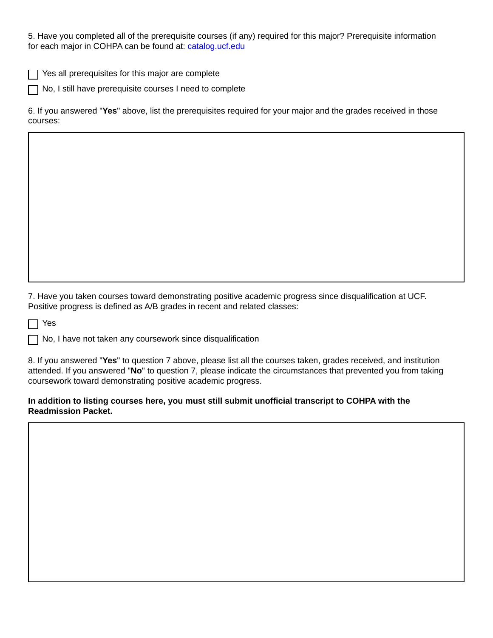5. Have you completed all of the prerequisite courses (if any) required for this major? Prerequisite information for each major in COHPA can be found at[: catalog.ucf.edu](http://catalog.ucf.edu/programs/degree-programs)

Yes all prerequisites for this major are complete

No, I still have prerequisite courses I need to complete

6. If you answered "**Yes**" above, list the prerequisites required for your major and the grades received in those courses:

7. Have you taken courses toward demonstrating positive academic progress since disqualification at UCF. Positive progress is defined as A/B grades in recent and related classes:

Yes

 $\Box$  No, I have not taken any coursework since disqualification

8. If you answered "**Yes**" to question 7 above, please list all the courses taken, grades received, and institution attended. If you answered "**No**" to question 7, please indicate the circumstances that prevented you from taking coursework toward demonstrating positive academic progress.

## **In addition to listing courses here, you must still submit unofficial transcript to COHPA with the Readmission Packet.**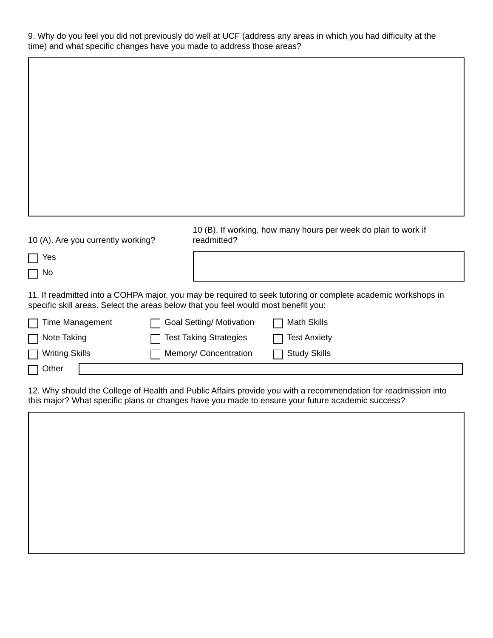9. Why do you feel you did not previously do well at UCF (address any areas in which you had difficulty at the time) and what specific changes have you made to address those areas?

| 10 (A). Are you currently working?                                                 | readmitted?                   | 10 (B). If working, how many hours per week do plan to work if                                               |
|------------------------------------------------------------------------------------|-------------------------------|--------------------------------------------------------------------------------------------------------------|
| Yes<br>1 No                                                                        |                               |                                                                                                              |
| specific skill areas. Select the areas below that you feel would most benefit you: |                               | 11. If readmitted into a COHPA major, you may be required to seek tutoring or complete academic workshops in |
| Time Management                                                                    | Goal Setting/ Motivation      | Math Skills                                                                                                  |
| Note Taking                                                                        | <b>Test Taking Strategies</b> | Test Anxiety                                                                                                 |
| <b>Writing Skills</b>                                                              | Memory/ Concentration         | <b>Study Skills</b>                                                                                          |
| Other                                                                              |                               |                                                                                                              |

12. Why should the College of Health and Public Affairs provide you with a recommendation for readmission into this major? What specific plans or changes have you made to ensure your future academic success?